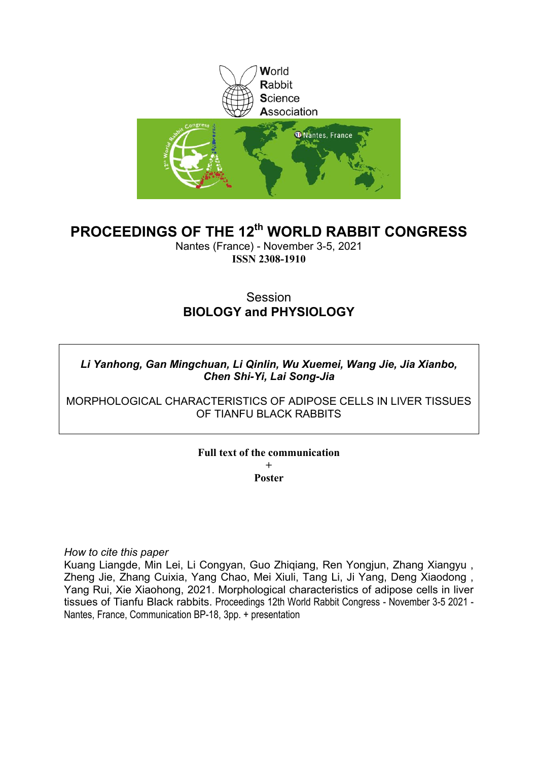

# **PROCEEDINGS OF THE 12th WORLD RABBIT CONGRESS**

Nantes (France) - November 3-5, 2021 **ISSN 2308-1910**

# **Session BIOLOGY and PHYSIOLOGY**

*Li Yanhong, Gan Mingchuan, Li Qinlin, Wu Xuemei, Wang Jie, Jia Xianbo, Chen Shi-Yi, Lai Song-Jia*

MORPHOLOGICAL CHARACTERISTICS OF ADIPOSE CELLS IN LIVER TISSUES OF TIANFU BLACK RABBITS

> **Full text of the communication + Poster**

*How to cite this paper*

Kuang Liangde, Min Lei, Li Congyan, Guo Zhiqiang, Ren Yongjun, Zhang Xiangyu , Zheng Jie, Zhang Cuixia, Yang Chao, Mei Xiuli, Tang Li, Ji Yang, Deng Xiaodong , Yang Rui, Xie Xiaohong, 2021. Morphological characteristics of adipose cells in liver tissues of Tianfu Black rabbits. Proceedings 12th World Rabbit Congress - November 3-5 2021 - Nantes, France, Communication BP-18, 3pp. + presentation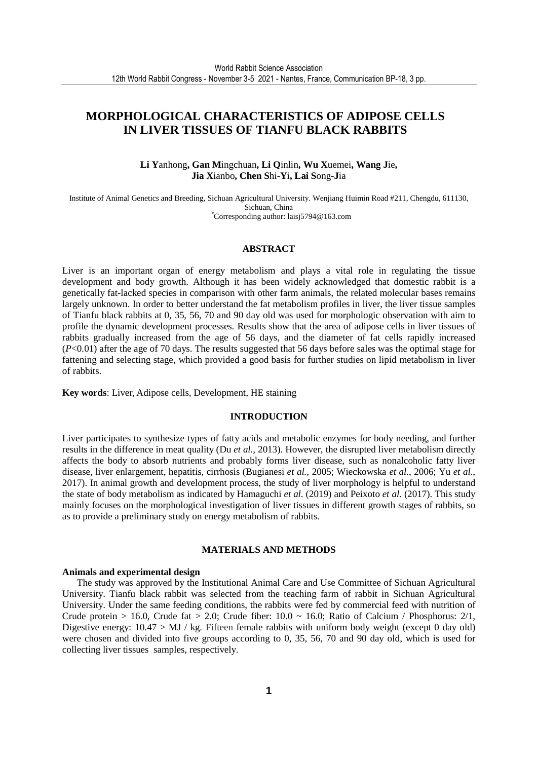## **MORPHOLOGICAL CHARACTERISTICS OF ADIPOSE CELLS IN LIVER TISSUES OF TIANFU BLACK RABBITS**

**Li Y**anhong**, Gan M**ingchuan**, Li Q**inlin**, Wu X**uemei**, Wang J**ie**, Jia X**ianbo**, Chen S**hi-**Y**i**, Lai S**ong-**J**ia

Institute of Animal Genetics and Breeding, Sichuan Agricultural University. Wenjiang Huimin Road #211, Chengdu, 611130, Sichuan, China \*Corresponding author: laisj5794@163.com

#### **ABSTRACT**

Liver is an important organ of energy metabolism and plays a vital role in regulating the tissue development and body growth. Although it has been widely acknowledged that domestic rabbit is a genetically fat-lacked species in comparison with other farm animals, the related molecular bases remains largely unknown. In order to better understand the fat metabolism profiles in liver, the liver tissue samples of Tianfu black rabbits at 0, 35, 56, 70 and 90 day old was used for morphologic observation with aim to profile the dynamic development processes. Results show that the area of adipose cells in liver tissues of rabbits gradually increased from the age of 56 days, and the diameter of fat cells rapidly increased (*P*<0.01) after the age of 70 days. The results suggested that 56 days before sales was the optimal stage for fattening and selecting stage, which provided a good basis for further studies on lipid metabolism in liver of rabbits.

**Key words**: Liver, Adipose cells, Development, HE staining

#### **INTRODUCTION**

Liver participates to synthesize types of fatty acids and metabolic enzymes for body needing, and further results in the difference in meat quality (Du *et al.,* 2013). However, the disrupted liver metabolism directly affects the body to absorb nutrients and probably forms liver disease, such as nonalcoholic fatty liver disease, liver enlargement, hepatitis, cirrhosis (Bugianesi *et al.*, 2005; Wieckowska *et al.*, 2006; Yu *et al.*, 2017). In animal growth and development process, the study of liver morphology is helpful to understand the state of body metabolism as indicated by Hamaguchi *et al*. (2019) and Peixoto *et al*. (2017). This study mainly focuses on the morphological investigation of liver tissues in different growth stages of rabbits, so as to provide a preliminary study on energy metabolism of rabbits.

## **MATERIALS AND METHODS**

#### **Animals and experimental design**

The study was approved by the Institutional Animal Care and Use Committee of Sichuan Agricultural University. Tianfu black rabbit was selected from the teaching farm of rabbit in Sichuan Agricultural University. Under the same feeding conditions, the rabbits were fed by commercial feed with nutrition of Crude protein > 16.0, Crude fat > 2.0; Crude fiber:  $10.0 \sim 16.0$ ; Ratio of Calcium / Phosphorus:  $2/1$ , Digestive energy:  $10.47 > MJ / kg$ . Fifteen female rabbits with uniform body weight (except 0 day old) were chosen and divided into five groups according to 0, 35, 56, 70 and 90 day old, which is used for collecting liver tissues samples, respectively.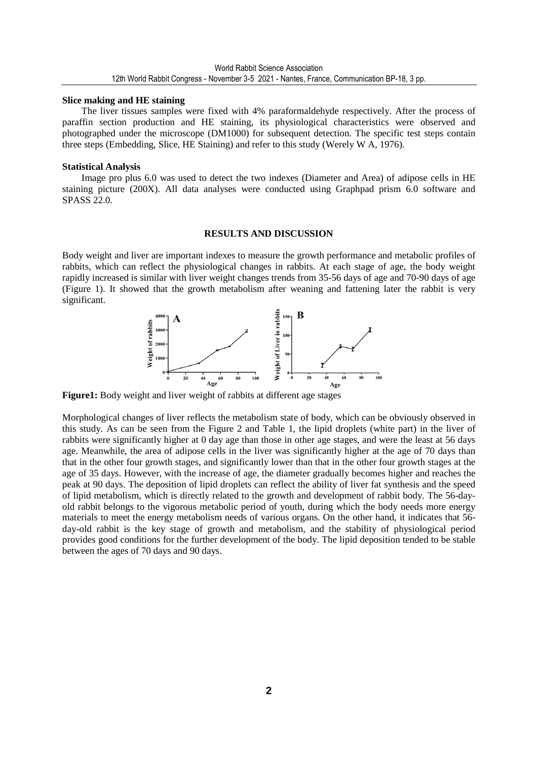#### **Slice making and HE staining**

The liver tissues samples were fixed with 4% paraformaldehyde respectively. After the process of paraffin section production and HE staining, its physiological characteristics were observed and photographed under the microscope (DM1000) for subsequent detection. The specific test steps contain three steps (Embedding, Slice, HE Staining) and refer to this study (Werely W A, 1976).

#### **Statistical Analysis**

Image pro plus 6.0 was used to detect the two indexes (Diameter and Area) of adipose cells in HE staining picture (200X). All data analyses were conducted using Graphpad prism 6.0 software and SPASS 22.0.

#### **RESULTS AND DISCUSSION**

Body weight and liver are important indexes to measure the growth performance and metabolic profiles of rabbits, which can reflect the physiological changes in rabbits. At each stage of age, the body weight rapidly increased is similar with liver weight changes trends from 35-56 days of age and 70-90 days of age (Figure 1). It showed that the growth metabolism after weaning and fattening later the rabbit is very significant.



**Figure1:** Body weight and liver weight of rabbits at different age stages

Morphological changes of liver reflects the metabolism state of body, which can be obviously observed in this study. As can be seen from the Figure 2 and Table 1, the lipid droplets (white part) in the liver of rabbits were significantly higher at 0 day age than those in other age stages, and were the least at 56 days age. Meanwhile, the area of adipose cells in the liver was significantly higher at the age of 70 days than that in the other four growth stages, and significantly lower than that in the other four growth stages at the age of 35 days. However, with the increase of age, the diameter gradually becomes higher and reaches the peak at 90 days. The deposition of lipid droplets can reflect the ability of liver fat synthesis and the speed of lipid metabolism, which is directly related to the growth and development of rabbit body. The 56-dayold rabbit belongs to the vigorous metabolic period of youth, during which the body needs more energy materials to meet the energy metabolism needs of various organs. On the other hand, it indicates that 56 day-old rabbit is the key stage of growth and metabolism, and the stability of physiological period provides good conditions for the further development of the body. The lipid deposition tended to be stable between the ages of 70 days and 90 days.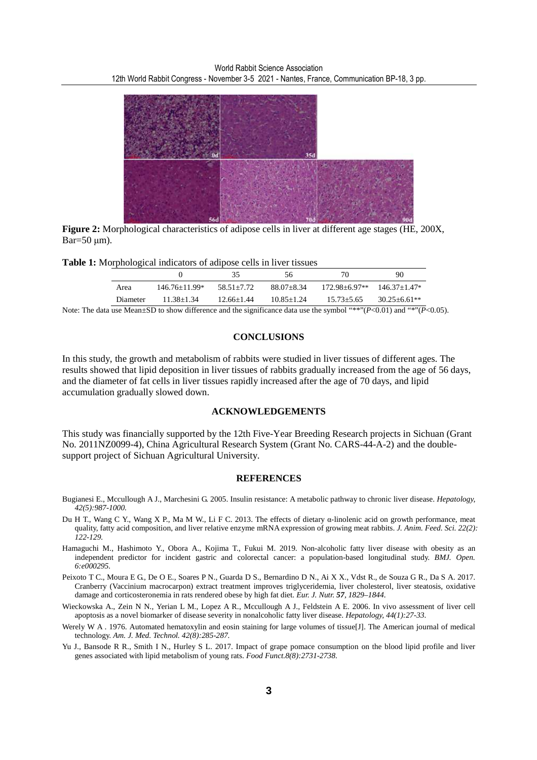

**Figure 2:** Morphological characteristics of adipose cells in liver at different age stages (HE, 200X,  $Bar=50 \mu m$ ).

|  |  |  |  | <b>Table 1:</b> Morphological indicators of adipose cells in liver tissues |  |  |
|--|--|--|--|----------------------------------------------------------------------------|--|--|
|  |  |  |  |                                                                            |  |  |

|          |                   |                | 56             | 70             | 90               |
|----------|-------------------|----------------|----------------|----------------|------------------|
| Area     | $146.76 + 11.99*$ | 58.51+7.72     | 88.07+8.34     | 172.98±6.97**  | $146.37+1.47*$   |
| Diameter | $11.38 + 1.34$    | $12.66 + 1.44$ | $10.85 + 1.24$ | $15.73 + 5.65$ | $30.25 + 6.61**$ |

Note: The data use Mean±SD to show difference and the significance data use the symbol "\*\*"(*P*<0.01) and "\*"(*P*<0.05).

### **CONCLUSIONS**

In this study, the growth and metabolism of rabbits were studied in liver tissues of different ages. The results showed that lipid deposition in liver tissues of rabbits gradually increased from the age of 56 days, and the diameter of fat cells in liver tissues rapidly increased after the age of 70 days, and lipid accumulation gradually slowed down.

### **ACKNOWLEDGEMENTS**

This study was financially supported by the 12th Five-Year Breeding Research projects in Sichuan (Grant No. 2011NZ0099-4), China Agricultural Research System (Grant No. CARS-44-A-2) and the doublesupport project of Sichuan Agricultural University.

#### **REFERENCES**

- Bugianesi E., Mccullough A J., Marchesini G. 2005. Insulin resistance: A metabolic pathway to chronic liver disease. *Hepatology, 42(5):987-1000.*
- Du H T., Wang C Y., Wang X P., Ma M W., Li F C. 2013. The effects of dietary α-linolenic acid on growth performance, meat quality, fatty acid composition, and liver relative enzyme mRNA expression of growing meat rabbits. *J. Anim. Feed. Sci. 22(2): 122-129.*
- Hamaguchi M., Hashimoto Y., Obora A., Kojima T., Fukui M. 2019. Non-alcoholic fatty liver disease with obesity as an independent predictor for incident gastric and colorectal cancer: a population-based longitudinal study. *BMJ. Open. 6:e000295.*
- Peixoto T C., Moura E G., De O E., Soares P N., Guarda D S., Bernardino D N., Ai X X., Vdst R., de Souza G R., Da S A. 2017. Cranberry (Vaccinium macrocarpon) extract treatment improves triglyceridemia, liver cholesterol, liver steatosis, oxidative damage and corticosteronemia in rats rendered obese by high fat diet. *Eur. J. Nutr. 57, 1829–1844.*
- Wieckowska A., Zein N N., Yerian L M., Lopez A R., Mccullough A J., Feldstein A E. 2006. In vivo assessment of liver cell apoptosis as a novel biomarker of disease severity in nonalcoholic fatty liver disease. *Hepatology, 44(1):27-33.*
- Werely W A . 1976. Automated hematoxylin and eosin staining for large volumes of tissue[J]. The American journal of medical technology. *Am. J. Med. Technol. 42(8):285-287.*
- Yu J., Bansode R R., Smith I N., Hurley S L. 2017. Impact of grape pomace consumption on the blood lipid profile and liver genes associated with lipid metabolism of young rats. *Food Funct.8(8):2731-2738.*